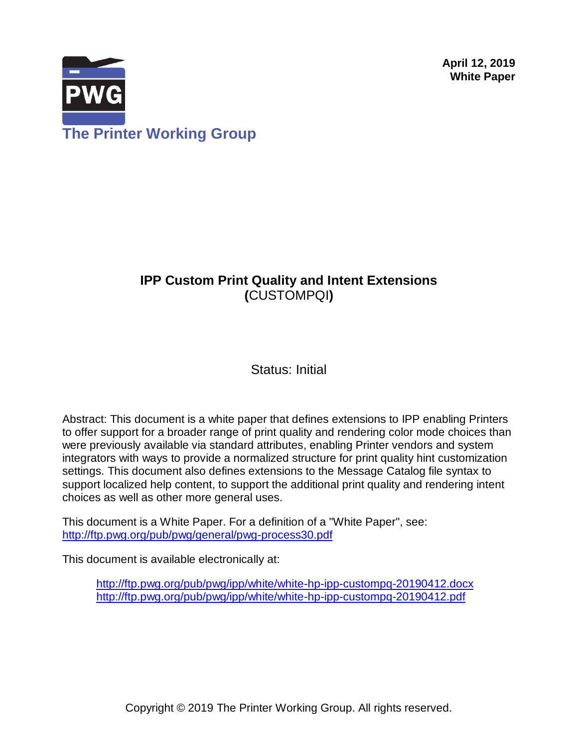**April 12, 2019 White Paper**



# **IPP Custom Print Quality and Intent Extensions (**CUSTOMPQI**)**

Status: Initial

Abstract: This document is a white paper that defines extensions to IPP enabling Printers to offer support for a broader range of print quality and rendering color mode choices than were previously available via standard attributes, enabling Printer vendors and system integrators with ways to provide a normalized structure for print quality hint customization settings. This document also defines extensions to the Message Catalog file syntax to support localized help content, to support the additional print quality and rendering intent choices as well as other more general uses.

This document is a White Paper. For a definition of a "White Paper", see: <http://ftp.pwg.org/pub/pwg/general/pwg-process30.pdf>

This document is available electronically at:

<http://ftp.pwg.org/pub/pwg/ipp/white/white-hp-ipp-custompq-20190412.docx> <http://ftp.pwg.org/pub/pwg/ipp/white/white-hp-ipp-custompq-20190412.pdf>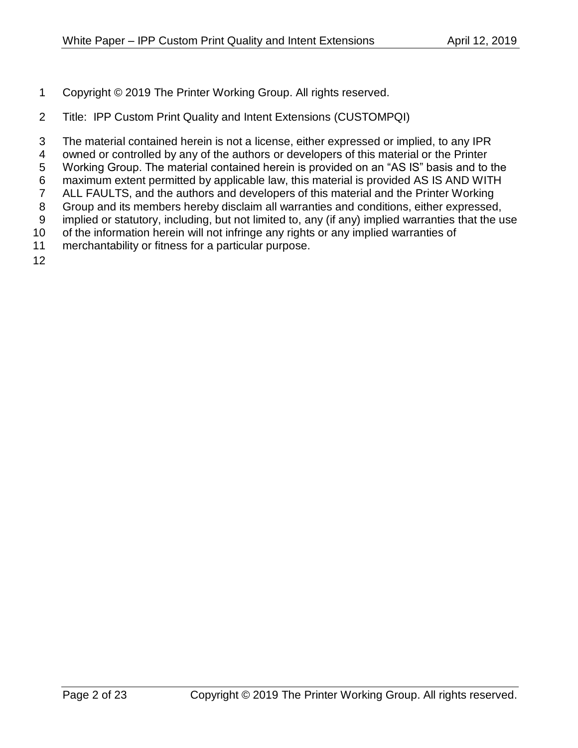- Copyright © 2019 The Printer Working Group. All rights reserved.
- Title: IPP Custom Print Quality and Intent Extensions (CUSTOMPQI)
- The material contained herein is not a license, either expressed or implied, to any IPR
- owned or controlled by any of the authors or developers of this material or the Printer
- Working Group. The material contained herein is provided on an "AS IS" basis and to the
- maximum extent permitted by applicable law, this material is provided AS IS AND WITH
- ALL FAULTS, and the authors and developers of this material and the Printer Working
- Group and its members hereby disclaim all warranties and conditions, either expressed,
- implied or statutory, including, but not limited to, any (if any) implied warranties that the use
- 10 of the information herein will not infringe any rights or any implied warranties of
- merchantability or fitness for a particular purpose.
-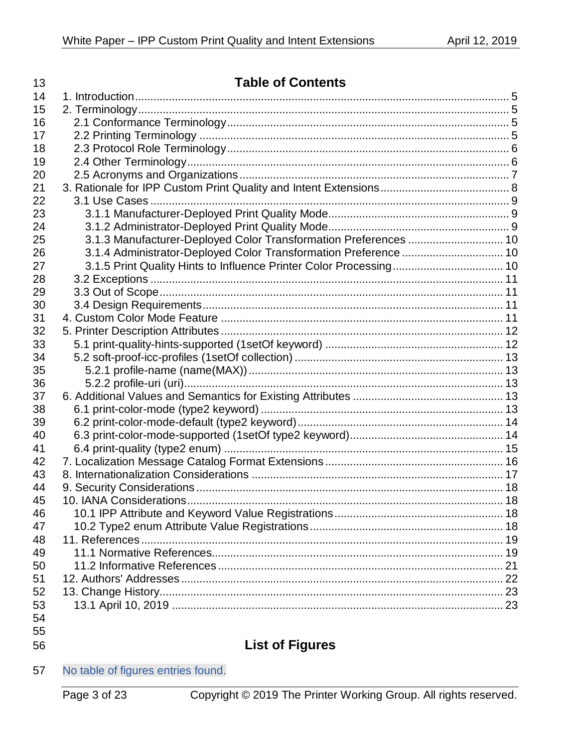| 14<br>15<br>16<br>17<br>18<br>19<br>20<br>21<br>22<br>23<br>24<br>25<br>3.1.4 Administrator-Deployed Color Transformation Preference  10<br>26<br>27<br>28<br>29<br>30<br>31<br>32<br>33<br>34<br>35<br>36<br>37<br>38<br>39<br>40<br>41<br>42<br>43<br>44<br>46<br>47<br>48<br>49<br>50<br>51<br>52<br>53<br>54 | 13 | <b>Table of Contents</b> |  |  |  |
|------------------------------------------------------------------------------------------------------------------------------------------------------------------------------------------------------------------------------------------------------------------------------------------------------------------|----|--------------------------|--|--|--|
|                                                                                                                                                                                                                                                                                                                  |    |                          |  |  |  |
|                                                                                                                                                                                                                                                                                                                  |    |                          |  |  |  |
|                                                                                                                                                                                                                                                                                                                  |    |                          |  |  |  |
|                                                                                                                                                                                                                                                                                                                  |    |                          |  |  |  |
|                                                                                                                                                                                                                                                                                                                  |    |                          |  |  |  |
|                                                                                                                                                                                                                                                                                                                  |    |                          |  |  |  |
|                                                                                                                                                                                                                                                                                                                  |    |                          |  |  |  |
|                                                                                                                                                                                                                                                                                                                  |    |                          |  |  |  |
|                                                                                                                                                                                                                                                                                                                  |    |                          |  |  |  |
|                                                                                                                                                                                                                                                                                                                  |    |                          |  |  |  |
|                                                                                                                                                                                                                                                                                                                  |    |                          |  |  |  |
|                                                                                                                                                                                                                                                                                                                  |    |                          |  |  |  |
|                                                                                                                                                                                                                                                                                                                  |    |                          |  |  |  |
|                                                                                                                                                                                                                                                                                                                  |    |                          |  |  |  |
|                                                                                                                                                                                                                                                                                                                  |    |                          |  |  |  |
|                                                                                                                                                                                                                                                                                                                  |    |                          |  |  |  |
|                                                                                                                                                                                                                                                                                                                  |    |                          |  |  |  |
|                                                                                                                                                                                                                                                                                                                  |    |                          |  |  |  |
|                                                                                                                                                                                                                                                                                                                  |    |                          |  |  |  |
|                                                                                                                                                                                                                                                                                                                  |    |                          |  |  |  |
|                                                                                                                                                                                                                                                                                                                  |    |                          |  |  |  |
|                                                                                                                                                                                                                                                                                                                  |    |                          |  |  |  |
|                                                                                                                                                                                                                                                                                                                  |    |                          |  |  |  |
|                                                                                                                                                                                                                                                                                                                  |    |                          |  |  |  |
|                                                                                                                                                                                                                                                                                                                  |    |                          |  |  |  |
|                                                                                                                                                                                                                                                                                                                  |    |                          |  |  |  |
|                                                                                                                                                                                                                                                                                                                  |    |                          |  |  |  |
|                                                                                                                                                                                                                                                                                                                  |    |                          |  |  |  |
|                                                                                                                                                                                                                                                                                                                  |    |                          |  |  |  |
|                                                                                                                                                                                                                                                                                                                  |    |                          |  |  |  |
|                                                                                                                                                                                                                                                                                                                  |    |                          |  |  |  |
|                                                                                                                                                                                                                                                                                                                  | 45 |                          |  |  |  |
|                                                                                                                                                                                                                                                                                                                  |    |                          |  |  |  |
|                                                                                                                                                                                                                                                                                                                  |    |                          |  |  |  |
|                                                                                                                                                                                                                                                                                                                  |    |                          |  |  |  |
|                                                                                                                                                                                                                                                                                                                  |    |                          |  |  |  |
|                                                                                                                                                                                                                                                                                                                  |    |                          |  |  |  |
|                                                                                                                                                                                                                                                                                                                  |    |                          |  |  |  |
|                                                                                                                                                                                                                                                                                                                  |    |                          |  |  |  |
|                                                                                                                                                                                                                                                                                                                  |    |                          |  |  |  |
|                                                                                                                                                                                                                                                                                                                  |    |                          |  |  |  |

- 
- 

# **List of Figures**

No table of figures entries found.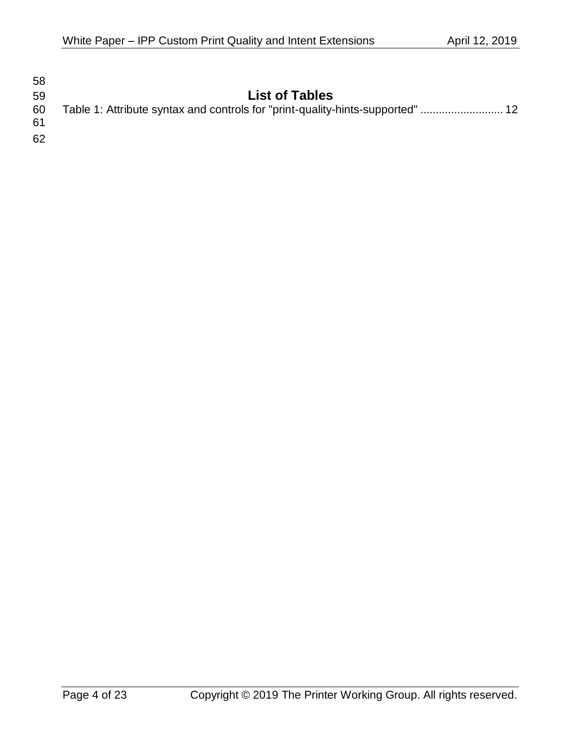| 58       |                                                                                |
|----------|--------------------------------------------------------------------------------|
| 59       | <b>List of Tables</b>                                                          |
| 60<br>61 | Table 1: Attribute syntax and controls for "print-quality-hints-supported"  12 |
| 62       |                                                                                |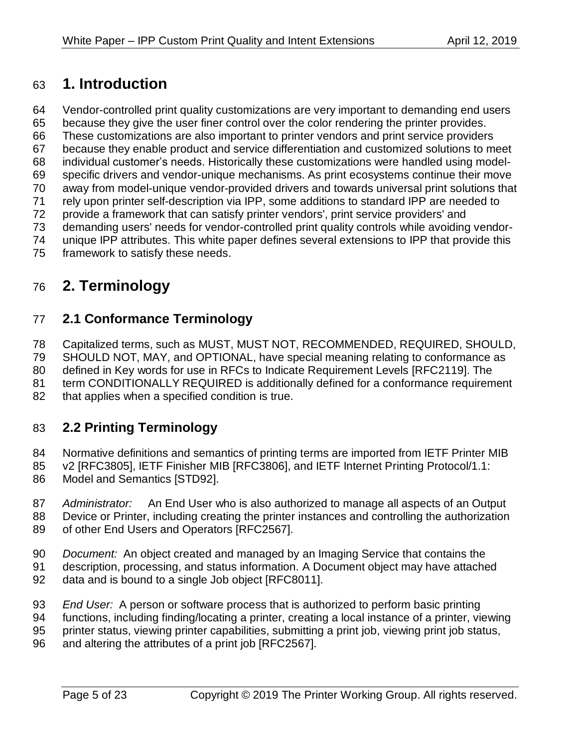# <span id="page-4-0"></span>**1. Introduction**

- Vendor-controlled print quality customizations are very important to demanding end users
- because they give the user finer control over the color rendering the printer provides.
- These customizations are also important to printer vendors and print service providers
- because they enable product and service differentiation and customized solutions to meet
- individual customer's needs. Historically these customizations were handled using model-
- specific drivers and vendor-unique mechanisms. As print ecosystems continue their move
- away from model-unique vendor-provided drivers and towards universal print solutions that
- rely upon printer self-description via IPP, some additions to standard IPP are needed to
- provide a framework that can satisfy printer vendors', print service providers' and
- demanding users' needs for vendor-controlled print quality controls while avoiding vendor-
- unique IPP attributes. This white paper defines several extensions to IPP that provide this framework to satisfy these needs.

# <span id="page-4-1"></span>**2. Terminology**

# <span id="page-4-2"></span>**2.1 Conformance Terminology**

Capitalized terms, such as MUST, MUST NOT, RECOMMENDED, REQUIRED, SHOULD,

SHOULD NOT, MAY, and OPTIONAL, have special meaning relating to conformance as

defined in Key words for use in RFCs to Indicate Requirement Levels [RFC2119]. The

- term CONDITIONALLY REQUIRED is additionally defined for a conformance requirement
- <span id="page-4-3"></span>82 that applies when a specified condition is true.

# **2.2 Printing Terminology**

- 84 Normative definitions and semantics of printing terms are imported from IETF Printer MIB
- v2 [RFC3805], IETF Finisher MIB [RFC3806], and IETF Internet Printing Protocol/1.1:
- Model and Semantics [\[STD92\].](#page-19-0)
- *Administrator:* An End User who is also authorized to manage all aspects of an Output
- Device or Printer, including creating the printer instances and controlling the authorization of other End Users and Operators [RFC2567].
- *Document:* An object created and managed by an Imaging Service that contains the
- description, processing, and status information. A Document object may have attached
- data and is bound to a single Job object [RFC8011].
- *End User:* A person or software process that is authorized to perform basic printing
- functions, including finding/locating a printer, creating a local instance of a printer, viewing
- printer status, viewing printer capabilities, submitting a print job, viewing print job status,
- and altering the attributes of a print job [RFC2567].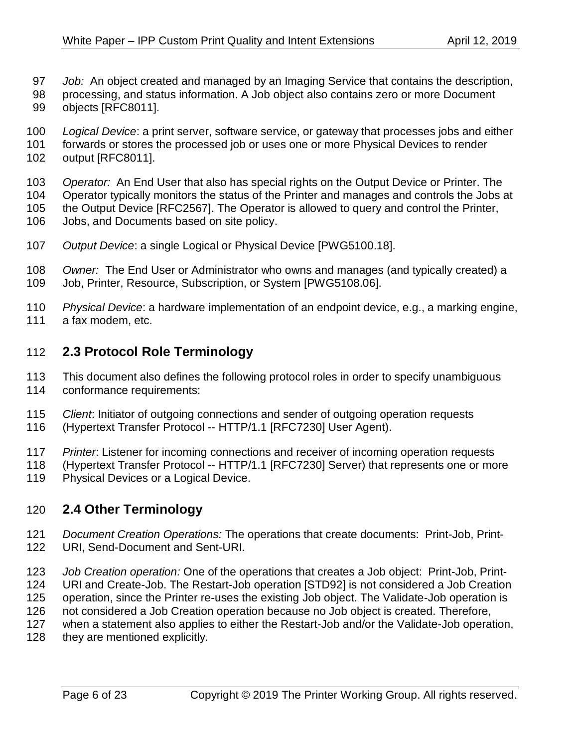- *Job:* An object created and managed by an Imaging Service that contains the description,
- processing, and status information. A Job object also contains zero or more Document
- objects [RFC8011].
- *Logical Device*: a print server, software service, or gateway that processes jobs and either
- forwards or stores the processed job or uses one or more Physical Devices to render output [RFC8011].
- *Operator:* An End User that also has special rights on the Output Device or Printer. The
- Operator typically monitors the status of the Printer and manages and controls the Jobs at
- the Output Device [RFC2567]. The Operator is allowed to query and control the Printer,
- Jobs, and Documents based on site policy.
- *Output Device*: a single Logical or Physical Device [PWG5100.18].
- *Owner:* The End User or Administrator who owns and manages (and typically created) a Job, Printer, Resource, Subscription, or System [PWG5108.06].
- *Physical Device*: a hardware implementation of an endpoint device, e.g., a marking engine,
- <span id="page-5-0"></span>a fax modem, etc.

# **2.3 Protocol Role Terminology**

- This document also defines the following protocol roles in order to specify unambiguous conformance requirements:
- *Client*: Initiator of outgoing connections and sender of outgoing operation requests
- (Hypertext Transfer Protocol -- HTTP/1.1 [RFC7230] User Agent).
- *Printer*: Listener for incoming connections and receiver of incoming operation requests
- (Hypertext Transfer Protocol -- HTTP/1.1 [RFC7230] Server) that represents one or more
- <span id="page-5-1"></span>Physical Devices or a Logical Device.

### **2.4 Other Terminology**

- *Document Creation Operations:* The operations that create documents: Print-Job, Print-URI, Send-Document and Sent-URI.
- *Job Creation operation:* One of the operations that creates a Job object: Print-Job, Print-URI and Create-Job. The Restart-Job operation [\[STD92\]](#page-19-0) is not considered a Job Creation
- operation, since the Printer re-uses the existing Job object. The Validate-Job operation is
- not considered a Job Creation operation because no Job object is created. Therefore,
- when a statement also applies to either the Restart-Job and/or the Validate-Job operation,
- 128 they are mentioned explicitly.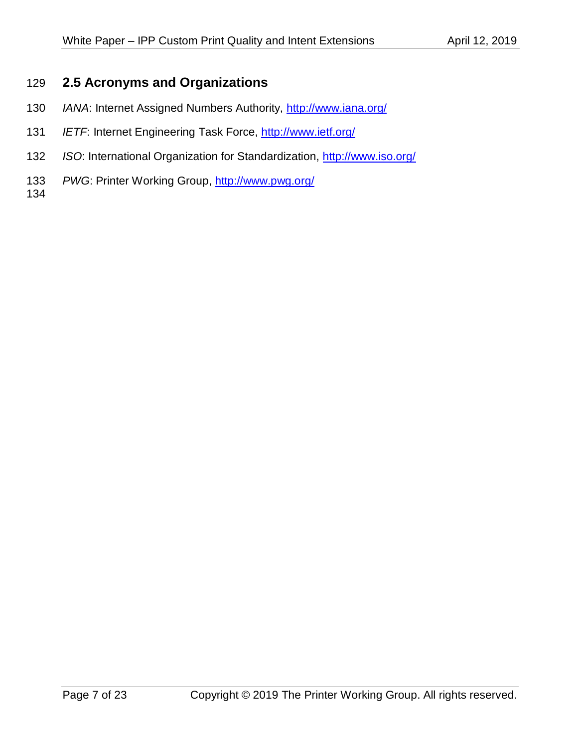### <span id="page-6-0"></span>**2.5 Acronyms and Organizations**

- *IANA*: Internet Assigned Numbers Authority,<http://www.iana.org/>
- *IETF*: Internet Engineering Task Force,<http://www.ietf.org/>
- *ISO*: International Organization for Standardization,<http://www.iso.org/>
- *PWG*: Printer Working Group,<http://www.pwg.org/>
-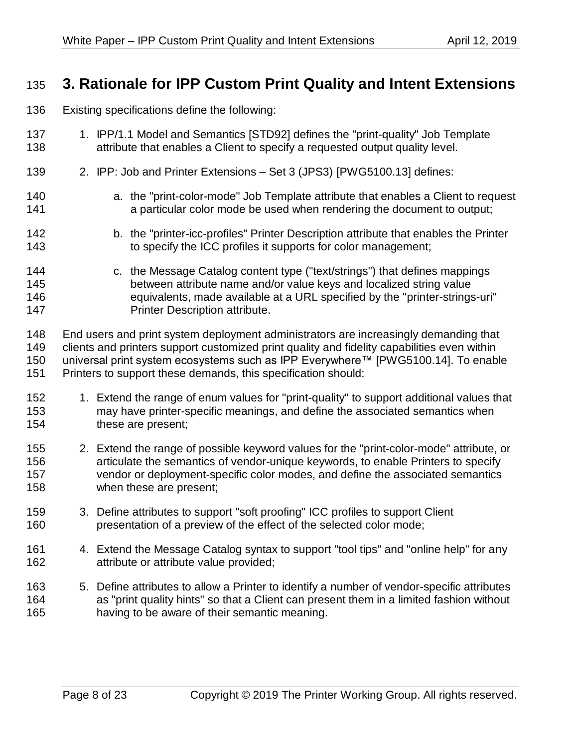# <span id="page-7-0"></span>**3. Rationale for IPP Custom Print Quality and Intent Extensions**

- Existing specifications define the following:
- 1. IPP/1.1 Model and Semantics [\[STD92\]](#page-19-0) defines the "print-quality" Job Template 138 attribute that enables a Client to specify a requested output quality level.
- 2. IPP: Job and Printer Extensions Set 3 (JPS3) [\[PWG5100.13\]](#page-19-1) defines:
- a. the "print-color-mode" Job Template attribute that enables a Client to request a particular color mode be used when rendering the document to output;
- b. the "printer-icc-profiles" Printer Description attribute that enables the Printer to specify the ICC profiles it supports for color management;
- c. the Message Catalog content type ("text/strings") that defines mappings between attribute name and/or value keys and localized string value equivalents, made available at a URL specified by the "printer-strings-uri" **Printer Description attribute.**
- End users and print system deployment administrators are increasingly demanding that clients and printers support customized print quality and fidelity capabilities even within universal print system ecosystems such as IPP Everywhere™ [\[PWG5100.14\].](#page-20-1) To enable Printers to support these demands, this specification should:
- 152 1. Extend the range of enum values for "print-quality" to support additional values that may have printer-specific meanings, and define the associated semantics when these are present;
- 2. Extend the range of possible keyword values for the "print-color-mode" attribute, or articulate the semantics of vendor-unique keywords, to enable Printers to specify vendor or deployment-specific color modes, and define the associated semantics when these are present;
- 3. Define attributes to support "soft proofing" ICC profiles to support Client presentation of a preview of the effect of the selected color mode;
- 4. Extend the Message Catalog syntax to support "tool tips" and "online help" for any attribute or attribute value provided;
- 5. Define attributes to allow a Printer to identify a number of vendor-specific attributes as "print quality hints" so that a Client can present them in a limited fashion without having to be aware of their semantic meaning.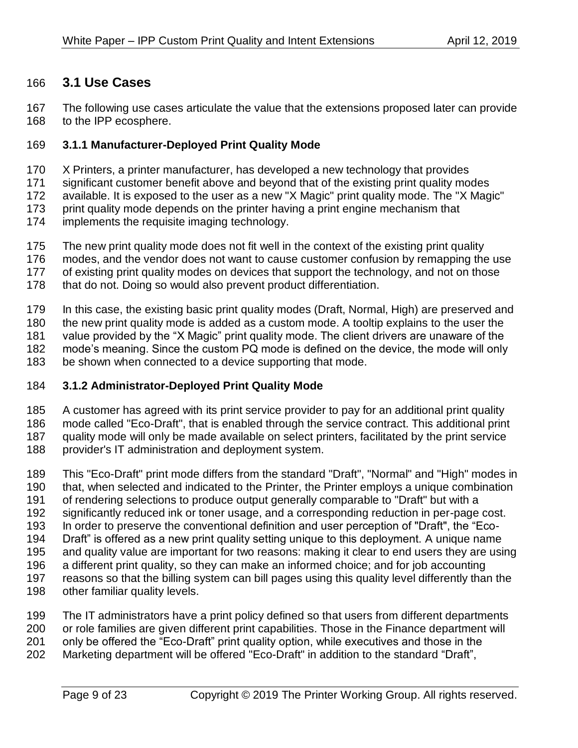### <span id="page-8-0"></span>**3.1 Use Cases**

 The following use cases articulate the value that the extensions proposed later can provide to the IPP ecosphere.

#### <span id="page-8-1"></span>**3.1.1 Manufacturer-Deployed Print Quality Mode**

- 170 X Printers, a printer manufacturer, has developed a new technology that provides<br>171 Significant customer benefit above and beyond that of the existing print quality mo
- significant customer benefit above and beyond that of the existing print quality modes
- available. It is exposed to the user as a new "X Magic" print quality mode. The "X Magic"
- 173 print quality mode depends on the printer having a print engine mechanism that
- implements the requisite imaging technology.
- 175 The new print quality mode does not fit well in the context of the existing print quality
- modes, and the vendor does not want to cause customer confusion by remapping the use
- of existing print quality modes on devices that support the technology, and not on those
- 178 that do not. Doing so would also prevent product differentiation.
- In this case, the existing basic print quality modes (Draft, Normal, High) are preserved and
- the new print quality mode is added as a custom mode. A tooltip explains to the user the
- value provided by the "X Magic" print quality mode. The client drivers are unaware of the
- mode's meaning. Since the custom PQ mode is defined on the device, the mode will only
- be shown when connected to a device supporting that mode.

### <span id="page-8-2"></span>**3.1.2 Administrator-Deployed Print Quality Mode**

- A customer has agreed with its print service provider to pay for an additional print quality
- mode called "Eco-Draft", that is enabled through the service contract. This additional print
- quality mode will only be made available on select printers, facilitated by the print service
- provider's IT administration and deployment system.
- This "Eco-Draft" print mode differs from the standard "Draft", "Normal" and "High" modes in that, when selected and indicated to the Printer, the Printer employs a unique combination of rendering selections to produce output generally comparable to "Draft" but with a significantly reduced ink or toner usage, and a corresponding reduction in per-page cost. In order to preserve the conventional definition and user perception of "Draft", the "Eco- Draft" is offered as a new print quality setting unique to this deployment. A unique name and quality value are important for two reasons: making it clear to end users they are using a different print quality, so they can make an informed choice; and for job accounting reasons so that the billing system can bill pages using this quality level differently than the other familiar quality levels.
- The IT administrators have a print policy defined so that users from different departments or role families are given different print capabilities. Those in the Finance department will only be offered the "Eco-Draft" print quality option, while executives and those in the Marketing department will be offered "Eco-Draft" in addition to the standard "Draft",
	-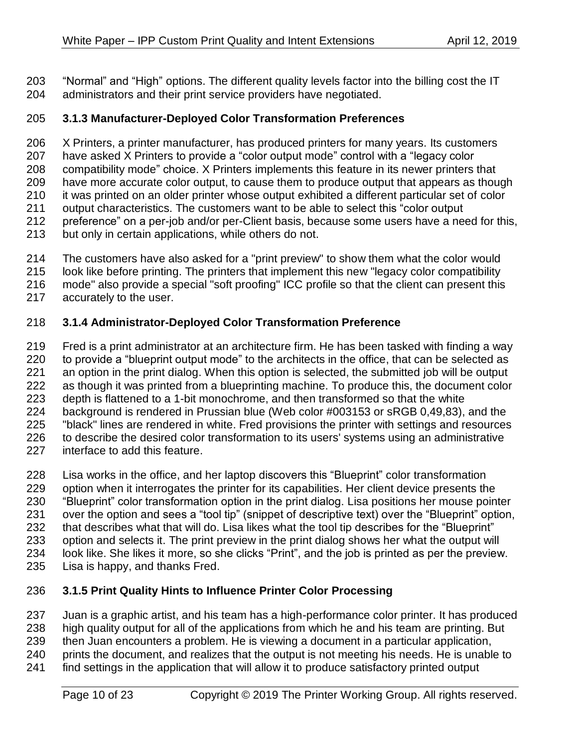"Normal" and "High" options. The different quality levels factor into the billing cost the IT administrators and their print service providers have negotiated.

#### <span id="page-9-0"></span>**3.1.3 Manufacturer-Deployed Color Transformation Preferences**

 X Printers, a printer manufacturer, has produced printers for many years. Its customers have asked X Printers to provide a "color output mode" control with a "legacy color compatibility mode" choice. X Printers implements this feature in its newer printers that have more accurate color output, to cause them to produce output that appears as though it was printed on an older printer whose output exhibited a different particular set of color output characteristics. The customers want to be able to select this "color output preference" on a per-job and/or per-Client basis, because some users have a need for this, but only in certain applications, while others do not.

- The customers have also asked for a "print preview" to show them what the color would look like before printing. The printers that implement this new "legacy color compatibility
- mode" also provide a special "soft proofing" ICC profile so that the client can present this
- accurately to the user.

#### <span id="page-9-1"></span>**3.1.4 Administrator-Deployed Color Transformation Preference**

 Fred is a print administrator at an architecture firm. He has been tasked with finding a way 220 to provide a "blueprint output mode" to the architects in the office, that can be selected as an option in the print dialog. When this option is selected, the submitted job will be output 222 as though it was printed from a blueprinting machine. To produce this, the document color depth is flattened to a 1-bit monochrome, and then transformed so that the white background is rendered in Prussian blue (Web color #003153 or sRGB 0,49,83), and the "black" lines are rendered in white. Fred provisions the printer with settings and resources 226 to describe the desired color transformation to its users' systems using an administrative interface to add this feature.

 Lisa works in the office, and her laptop discovers this "Blueprint" color transformation option when it interrogates the printer for its capabilities. Her client device presents the "Blueprint" color transformation option in the print dialog. Lisa positions her mouse pointer over the option and sees a "tool tip" (snippet of descriptive text) over the "Blueprint" option, that describes what that will do. Lisa likes what the tool tip describes for the "Blueprint" option and selects it. The print preview in the print dialog shows her what the output will look like. She likes it more, so she clicks "Print", and the job is printed as per the preview. Lisa is happy, and thanks Fred.

#### <span id="page-9-2"></span>**3.1.5 Print Quality Hints to Influence Printer Color Processing**

Juan is a graphic artist, and his team has a high-performance color printer. It has produced

high quality output for all of the applications from which he and his team are printing. But

then Juan encounters a problem. He is viewing a document in a particular application,

- prints the document, and realizes that the output is not meeting his needs. He is unable to
- find settings in the application that will allow it to produce satisfactory printed output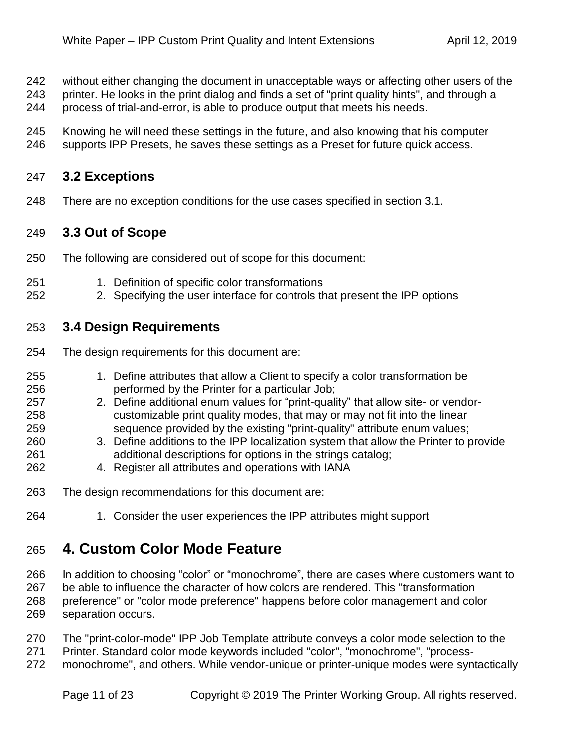- without either changing the document in unacceptable ways or affecting other users of the
- printer. He looks in the print dialog and finds a set of "print quality hints", and through a
- process of trial-and-error, is able to produce output that meets his needs.
- Knowing he will need these settings in the future, and also knowing that his computer
- <span id="page-10-0"></span>supports IPP Presets, he saves these settings as a Preset for future quick access.

### **3.2 Exceptions**

<span id="page-10-1"></span>There are no exception conditions for the use cases specified in section [3.1.](#page-8-0)

### **3.3 Out of Scope**

- The following are considered out of scope for this document:
- 1. Definition of specific color transformations
- <span id="page-10-2"></span>2. Specifying the user interface for controls that present the IPP options

# **3.4 Design Requirements**

- The design requirements for this document are:
- 1. Define attributes that allow a Client to specify a color transformation be performed by the Printer for a particular Job; 2. Define additional enum values for "print-quality" that allow site- or vendor- customizable print quality modes, that may or may not fit into the linear sequence provided by the existing "print-quality" attribute enum values; 3. Define additions to the IPP localization system that allow the Printer to provide additional descriptions for options in the strings catalog; 4. Register all attributes and operations with IANA
- The design recommendations for this document are:
- <span id="page-10-3"></span>1. Consider the user experiences the IPP attributes might support

# **4. Custom Color Mode Feature**

- In addition to choosing "color" or "monochrome", there are cases where customers want to be able to influence the character of how colors are rendered. This "transformation preference" or "color mode preference" happens before color management and color separation occurs.
- The "print-color-mode" IPP Job Template attribute conveys a color mode selection to the
- Printer. Standard color mode keywords included "color", "monochrome", "process-
- monochrome", and others. While vendor-unique or printer-unique modes were syntactically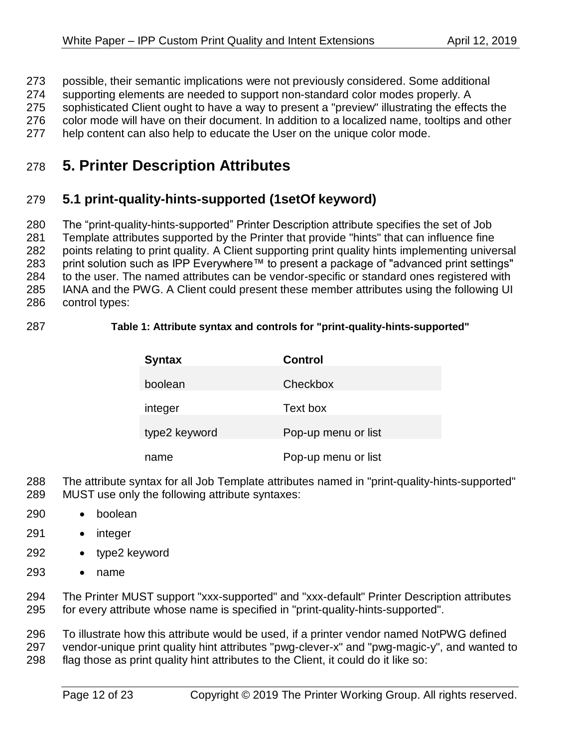- possible, their semantic implications were not previously considered. Some additional
- supporting elements are needed to support non-standard color modes properly. A
- 275 sophisticated Client ought to have a way to present a "preview" illustrating the effects the<br>276 color mode will have on their document. In addition to a localized name, tooltips and other
- color mode will have on their document. In addition to a localized name, tooltips and other
- <span id="page-11-0"></span>help content can also help to educate the User on the unique color mode.

# **5. Printer Description Attributes**

# <span id="page-11-1"></span>**5.1 print-quality-hints-supported (1setOf keyword)**

 The "print-quality-hints-supported" Printer Description attribute specifies the set of Job Template attributes supported by the Printer that provide "hints" that can influence fine points relating to print quality. A Client supporting print quality hints implementing universal 283 print solution such as IPP Everywhere™ to present a package of "advanced print settings" 284 to the user. The named attributes can be vendor-specific or standard ones registered with IANA and the PWG. A Client could present these member attributes using the following UI control types:

#### **Table 1: Attribute syntax and controls for "print-quality-hints-supported"**

| <b>Syntax</b> | <b>Control</b>      |
|---------------|---------------------|
| boolean       | Checkbox            |
| integer       | Text box            |
| type2 keyword | Pop-up menu or list |
| name          | Pop-up menu or list |

- The attribute syntax for all Job Template attributes named in "print-quality-hints-supported"
- MUST use only the following attribute syntaxes:
- boolean
- integer
- type2 keyword
- name
- The Printer MUST support "xxx-supported" and "xxx-default" Printer Description attributes for every attribute whose name is specified in "print-quality-hints-supported".

 To illustrate how this attribute would be used, if a printer vendor named NotPWG defined vendor-unique print quality hint attributes "pwg-clever-x" and "pwg-magic-y", and wanted to

flag those as print quality hint attributes to the Client, it could do it like so: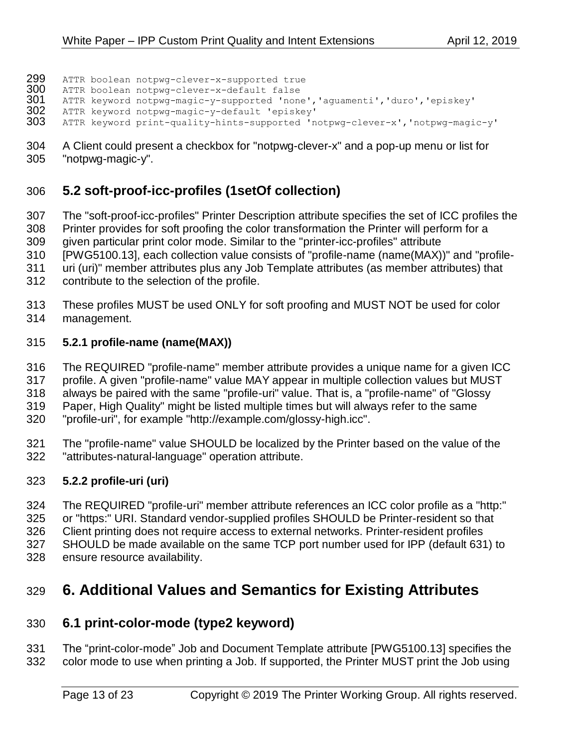- 299 ATTR boolean notpwg-clever-x-supported true<br>300 ATTR boolean notpwg-clever-x-default false
- ATTR boolean notpwg-clever-x-default false
- 301 ATTR keyword notpwg-magic-y-supported 'none','aguamenti','duro','episkey'<br>302 ATTR keyword notpwg-magic-y-default 'episkey'
- ATTR keyword notpwg-magic-y-default 'episkey'
- ATTR keyword print-quality-hints-supported 'notpwg-clever-x', 'notpwg-magic-y'
- A Client could present a checkbox for "notpwg-clever-x" and a pop-up menu or list for "notpwg-magic-y".

# <span id="page-12-0"></span>**5.2 soft-proof-icc-profiles (1setOf collection)**

- The "soft-proof-icc-profiles" Printer Description attribute specifies the set of ICC profiles the Printer provides for soft proofing the color transformation the Printer will perform for a
- given particular print color mode. Similar to the "printer-icc-profiles" attribute
- [\[PWG5100.13\],](#page-19-1) each collection value consists of "profile-name (name(MAX))" and "profile-
- uri (uri)" member attributes plus any Job Template attributes (as member attributes) that
- contribute to the selection of the profile.
- These profiles MUST be used ONLY for soft proofing and MUST NOT be used for color
- management.

### <span id="page-12-1"></span>**5.2.1 profile-name (name(MAX))**

- The REQUIRED "profile-name" member attribute provides a unique name for a given ICC
- profile. A given "profile-name" value MAY appear in multiple collection values but MUST
- always be paired with the same "profile-uri" value. That is, a "profile-name" of "Glossy
- Paper, High Quality" might be listed multiple times but will always refer to the same
- "profile-uri", for example "http://example.com/glossy-high.icc".
- The "profile-name" value SHOULD be localized by the Printer based on the value of the "attributes-natural-language" operation attribute.

# <span id="page-12-2"></span>**5.2.2 profile-uri (uri)**

 The REQUIRED "profile-uri" member attribute references an ICC color profile as a "http:" or "https:" URI. Standard vendor-supplied profiles SHOULD be Printer-resident so that Client printing does not require access to external networks. Printer-resident profiles SHOULD be made available on the same TCP port number used for IPP (default 631) to ensure resource availability.

# <span id="page-12-3"></span>**6. Additional Values and Semantics for Existing Attributes**

# <span id="page-12-4"></span>**6.1 print-color-mode (type2 keyword)**

 The "print-color-mode" Job and Document Template attribute [\[PWG5100.13\]](#page-19-1) specifies the color mode to use when printing a Job. If supported, the Printer MUST print the Job using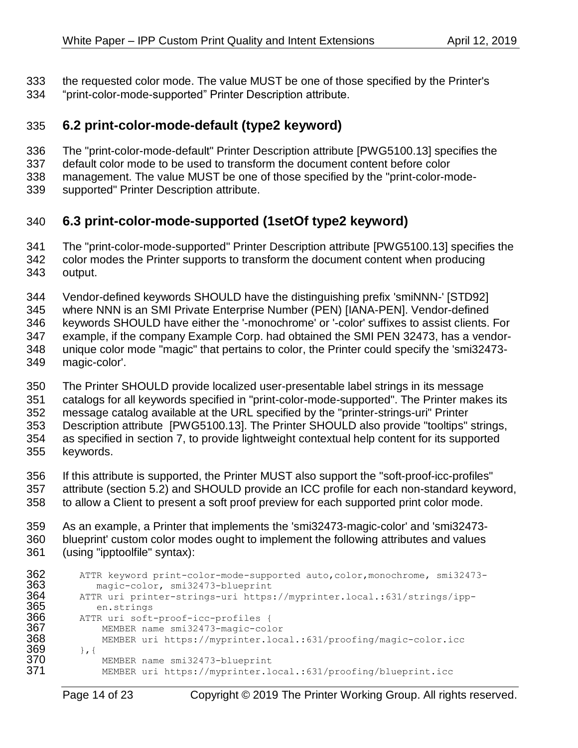- the requested color mode. The value MUST be one of those specified by the Printer's
- <span id="page-13-0"></span>"print-color-mode-supported" Printer Description attribute.

### **6.2 print-color-mode-default (type2 keyword)**

- The "print-color-mode-default" Printer Description attribute [\[PWG5100.13\]](#page-19-1) specifies the
- default color mode to be used to transform the document content before color
- management. The value MUST be one of those specified by the "print-color-mode-
- <span id="page-13-1"></span>supported" Printer Description attribute.

# **6.3 print-color-mode-supported (1setOf type2 keyword)**

- The "print-color-mode-supported" Printer Description attribute [\[PWG5100.13\]](#page-19-1) specifies the
- color modes the Printer supports to transform the document content when producing output.
- Vendor-defined keywords SHOULD have the distinguishing prefix 'smiNNN-' [\[STD92\]](#page-19-0)
- where NNN is an SMI Private Enterprise Number (PEN) [\[IANA-PEN\].](#page-18-2) Vendor-defined
- keywords SHOULD have either the '-monochrome' or '-color' suffixes to assist clients. For
- example, if the company Example Corp. had obtained the SMI PEN 32473, has a vendor-
- unique color mode "magic" that pertains to color, the Printer could specify the 'smi32473- magic-color'.
- The Printer SHOULD provide localized user-presentable label strings in its message
- catalogs for all keywords specified in "print-color-mode-supported". The Printer makes its
- message catalog available at the URL specified by the "printer-strings-uri" Printer
- Description attribute [\[PWG5100.13\].](#page-19-1) The Printer SHOULD also provide "tooltips" strings, as specified in section [7,](#page-15-0) to provide lightweight contextual help content for its supported keywords.
- If this attribute is supported, the Printer MUST also support the "soft-proof-icc-profiles"
- attribute (section [5.2\)](#page-12-0) and SHOULD provide an ICC profile for each non-standard keyword,
- to allow a Client to present a soft proof preview for each supported print color mode.
- As an example, a Printer that implements the 'smi32473-magic-color' and 'smi32473- blueprint' custom color modes ought to implement the following attributes and values
- (using "ipptoolfile" syntax):

```
362 ATTR keyword print-color-mode-supported auto, color, monochrome, smi32473-<br>363 magic-color, smi32473-blueprint
363 magic-color, smi32473-blueprint<br>364 MTTR uri printer-strings-uri https
364 ATTR uri printer-strings-uri https://myprinter.local.:631/strings/ipp-<br>365 en.strings
365 en.strings<br>366 ATTR-uri-soft-
366 ATTR uri soft-proof-icc-profiles {
367 MEMBER name smi32473-magic-color
               368 MEMBER uri https://myprinter.local.:631/proofing/magic-color.icc
369 }, {
370 MEMBER name smi32473-blueprint<br>371 MEMBER uri https://myprinter.lo
                371 MEMBER uri https://myprinter.local.:631/proofing/blueprint.icc
```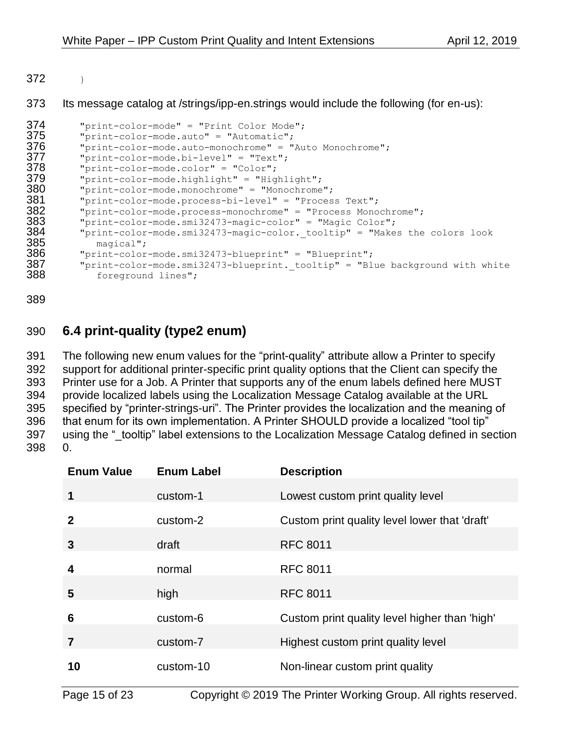$372 \rightarrow$ 

#### Its message catalog at /strings/ipp-en.strings would include the following (for en-us):

```
374 "print-color-mode" = "Print Color Mode";<br>375 "print-color-mode.auto" = "Automatic";
375 "print-color-mode.auto" = "Automatic";
376        "print-color-mode.auto-monochrome" = "Auto Monochrome";<br>377        "print-color-mode.bi-level" = "Text";
377 "print-color-mode.bi-level" = "Text";
378 "print-color-mode.color" = "Color";
379 "print-color-mode.highlight" = "Highlight";
380 "print-color-mode.monochrome" = "Monochrome";
381 "print-color-mode.process-bi-level" = "Process Text";
          "print-color-mode.process-monochrome" = "Process Monochrome";
383 "print-color-mode.smi32473-magic-color" = "Magic Color";
384 "print-color-mode.smi32473-magic-color._tooltip" = "Makes the colors look<br>385 magical";
385 magical";
386 "print-color-mode.smi32473-blueprint" = "Blueprint";
387 "print-color-mode.smi32473-blueprint._tooltip" = "Blue background with white<br>388 foreground lines";
             foreground lines";
```
<span id="page-14-0"></span>

### **6.4 print-quality (type2 enum)**

 The following new enum values for the "print-quality" attribute allow a Printer to specify support for additional printer-specific print quality options that the Client can specify the Printer use for a Job. A Printer that supports any of the enum labels defined here MUST provide localized labels using the Localization Message Catalog available at the URL specified by "printer-strings-uri". The Printer provides the localization and the meaning of that enum for its own implementation. A Printer SHOULD provide a localized "tool tip" 397 using the " tooltip" label extensions to the Localization Message Catalog defined in section [0.](#page-15-1)

| <b>Enum Value</b> | <b>Enum Label</b> | <b>Description</b>                            |
|-------------------|-------------------|-----------------------------------------------|
| 1                 | custom-1          | Lowest custom print quality level             |
| $\mathbf{2}$      | custom-2          | Custom print quality level lower that 'draft' |
| 3                 | draft             | <b>RFC 8011</b>                               |
| 4                 | normal            | <b>RFC 8011</b>                               |
| 5                 | high              | <b>RFC 8011</b>                               |
| 6                 | custom-6          | Custom print quality level higher than 'high' |
| 7                 | custom-7          | Highest custom print quality level            |
| 10                | custom-10         | Non-linear custom print quality               |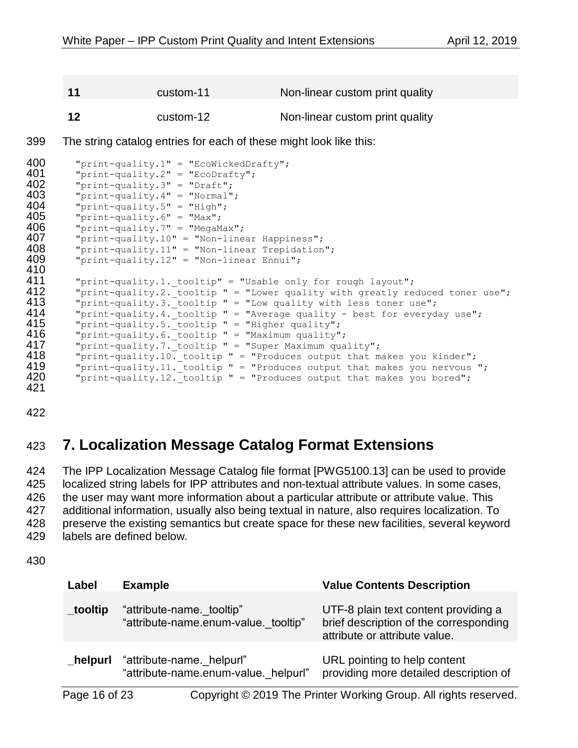**11** custom-11 Non-linear custom print quality

<span id="page-15-1"></span>**12** custom-12 Non-linear custom print quality

399 The string catalog entries for each of these might look like this:

```
400 "print-quality.1" = "EcoWickedDrafty";<br>401   "print-quality.2" = "EcoDrafty";
401 "print-quality.2" = "EcoDrafty";<br>402 "print-quality.3" = "Draff."402 "print-quality.3" = "Draft";
403 "print-quality.4" = "Normal";
              "print-quality.5" = "High";
405 "print-quality.6" = "Max";
406 "print-quality.7" = "MegaMax";<br>407     "print-quality.10" = "Non-line
407       "print-quality.10" = "Non-linear Happiness";<br>408      "print-quality.11" = "Non-linear Trepidation
408 "print-quality.11" = "Non-linear Trepidation";<br>409      "print-quality.12" = "Non-linear Ennui";
              "print-quality.12" = "Non-linear Ennui";
410<br>411
411 "print-quality.1._tooltip" = "Usable only for rough layout";
412      "print-quality.2. tooltip " = "Lower quality with greatly reduced toner use";<br>413      "print-quality.3. tooltip " = "Low quality with less toner use";
413 "print-quality.3. tooltip " = "Low quality with less toner use";<br>414 Torint-quality.4. tooltip " = "Average quality - best for everyd
414 "print-quality.4. tooltip " = "Average quality - best for everyday use";<br>415 The lite of the state will be will ality";
415 "print-quality.5. tooltip " = "Higher quality";<br>416 = "print-quality.6. tooltip " = "Maximum quality"
416 "print-quality.6. tooltip " = "Maximum quality";<br>417 = "print-quality.7. tooltip " = "Super Maximum qua
417 "print-quality.7. tooltip " = "Super Maximum quality";<br>418 Torint-quality.10, tooltip " = "Produces output that m
418 "print-quality.10. tooltip " = "Produces output that makes you kinder";<br>419 The terminality.11, tooltip " = "Produces output that makes you nervous
419 "print-quality.11. tooltip " = "Produces output that makes you nervous ";<br>420 Terint-quality.12. tooltip " = "Produces output that makes you bored";
              "print-quality.12. tooltip " = "Produces output that makes you bored";
421
```
<span id="page-15-0"></span>422

# 423 **7. Localization Message Catalog Format Extensions**

 The IPP Localization Message Catalog file format [\[PWG5100.13\]](#page-19-1) can be used to provide localized string labels for IPP attributes and non-textual attribute values. In some cases, the user may want more information about a particular attribute or attribute value. This additional information, usually also being textual in nature, also requires localization. To preserve the existing semantics but create space for these new facilities, several keyword labels are defined below.

430

| Label         | <b>Example</b>                                                    | <b>Value Contents Description</b>                                                                               |
|---------------|-------------------------------------------------------------------|-----------------------------------------------------------------------------------------------------------------|
| _tooltip      | "attribute-name. tooltip"<br>"attribute-name.enum-value. tooltip" | UTF-8 plain text content providing a<br>brief description of the corresponding<br>attribute or attribute value. |
| _helpurl      | "attribute-name. helpurl"<br>"attribute-name.enum-value. helpurl" | URL pointing to help content<br>providing more detailed description of                                          |
| Page 16 of 23 |                                                                   | Copyright © 2019 The Printer Working Group. All rights reserved.                                                |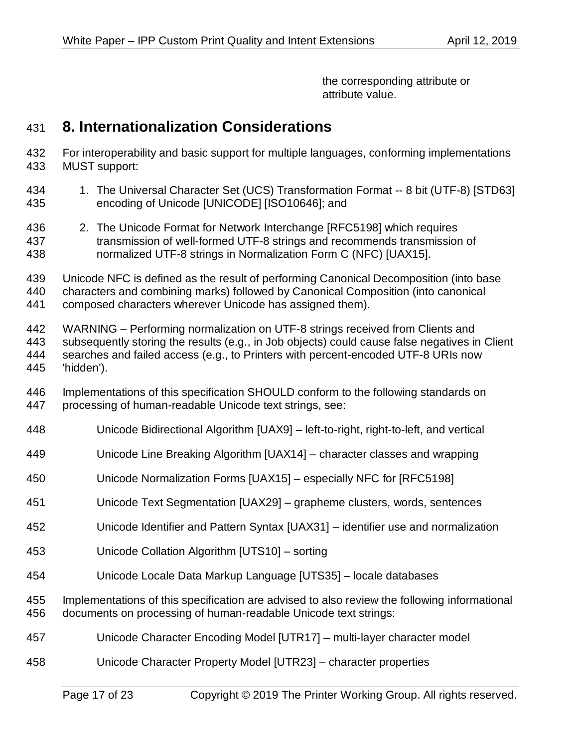the corresponding attribute or attribute value.

# <span id="page-16-0"></span>**8. Internationalization Considerations**

- For interoperability and basic support for multiple languages, conforming implementations MUST support:
- 1. The Universal Character Set (UCS) Transformation Format -- 8 bit (UTF-8) [STD63] encoding of Unicode [UNICODE] [ISO10646]; and
- 2. The Unicode Format for Network Interchange [RFC5198] which requires transmission of well-formed UTF-8 strings and recommends transmission of normalized UTF-8 strings in Normalization Form C (NFC) [UAX15].
- Unicode NFC is defined as the result of performing Canonical Decomposition (into base

characters and combining marks) followed by Canonical Composition (into canonical

composed characters wherever Unicode has assigned them).

 WARNING – Performing normalization on UTF-8 strings received from Clients and subsequently storing the results (e.g., in Job objects) could cause false negatives in Client searches and failed access (e.g., to Printers with percent-encoded UTF-8 URIs now 'hidden').

- Implementations of this specification SHOULD conform to the following standards on processing of human-readable Unicode text strings, see:
- Unicode Bidirectional Algorithm [UAX9] left-to-right, right-to-left, and vertical
- Unicode Line Breaking Algorithm [UAX14] character classes and wrapping
- Unicode Normalization Forms [UAX15] especially NFC for [RFC5198]
- Unicode Text Segmentation [UAX29] grapheme clusters, words, sentences
- Unicode Identifier and Pattern Syntax [UAX31] identifier use and normalization
- Unicode Collation Algorithm [UTS10] sorting
- Unicode Locale Data Markup Language [UTS35] locale databases
- Implementations of this specification are advised to also review the following informational documents on processing of human-readable Unicode text strings:
- Unicode Character Encoding Model [UTR17] multi-layer character model
- Unicode Character Property Model [UTR23] character properties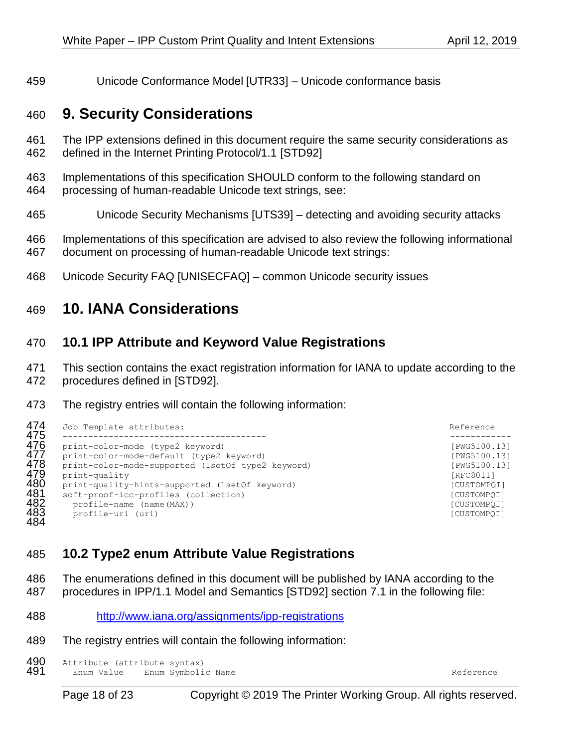<span id="page-17-0"></span>Unicode Conformance Model [UTR33] – Unicode conformance basis

# **9. Security Considerations**

- The IPP extensions defined in this document require the same security considerations as defined in the Internet Printing Protocol/1.1 [\[STD92\]](#page-19-0)
- Implementations of this specification SHOULD conform to the following standard on processing of human-readable Unicode text strings, see:
- 
- Unicode Security Mechanisms [UTS39] detecting and avoiding security attacks
- Implementations of this specification are advised to also review the following informational document on processing of human-readable Unicode text strings:
- <span id="page-17-1"></span>Unicode Security FAQ [UNISECFAQ] – common Unicode security issues

# **10. IANA Considerations**

### <span id="page-17-2"></span>**10.1 IPP Attribute and Keyword Value Registrations**

- This section contains the exact registration information for IANA to update according to the
- procedures defined in [\[STD92\].](#page-19-0)
- The registry entries will contain the following information:

| 474               | Job Template attributes:                                                                                            | Reference                                 |  |
|-------------------|---------------------------------------------------------------------------------------------------------------------|-------------------------------------------|--|
| 475<br>476<br>477 | print-color-mode (type2 keyword)<br>print-color-mode-default (type2 keyword)                                        | [PWG5100.13]<br>[PWG5100.13]              |  |
| 478<br>479        | print-color-mode-supported (1setOf type2 keyword)<br>print-quality                                                  | [PWG5100.13]<br>[RFC8011]                 |  |
| 480<br>481<br>482 | print-quality-hints-supported (1setOf keyword)<br>soft-proof-icc-profiles (collection)<br>profile-name (name (MAX)) | [CUSTOMPOI]<br>[CUSTOMPOI]<br>[CUSTOMPOI] |  |
| 483<br>484        | profile-uri (uri)                                                                                                   | [CUSTOMPOI]                               |  |

# <span id="page-17-3"></span>**10.2 Type2 enum Attribute Value Registrations**

- The enumerations defined in this document will be published by IANA according to the
- procedures in IPP/1.1 Model and Semantics [STD92] section 7.1 in the following file:
- <http://www.iana.org/assignments/ipp-registrations>
- The registry entries will contain the following information:

490 Attribute (attribute syntax)<br>491 Enum Value Enum Symboli Enum Value Enum Symbolic Name Reference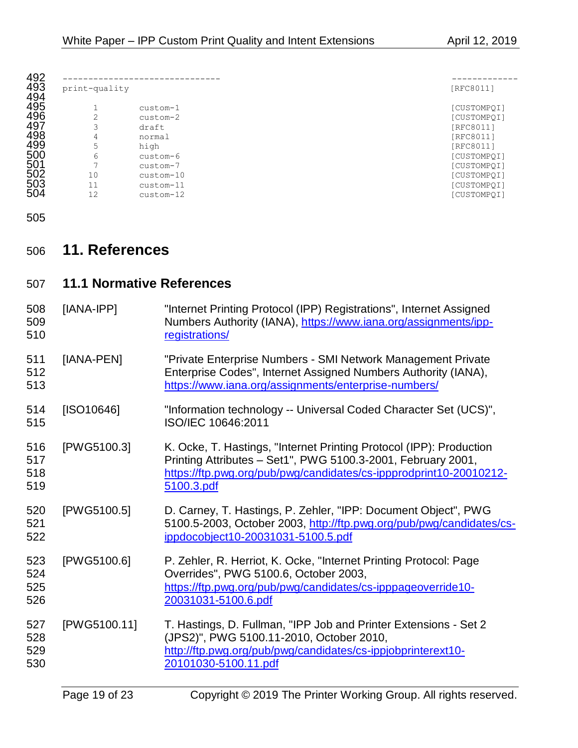| print-quality            |           | [RFC8011]   |
|--------------------------|-----------|-------------|
|                          | custom-1  | [CUSTOMPQI] |
| 2                        | custom-2  | [CUSTOMPQI] |
| 3                        | draft     | [RFC8011]   |
| 4                        | normal    | [RFC8011]   |
| 5                        | high      | [RFC8011]   |
| 6                        | custom-6  | [CUSTOMPQI] |
| $\overline{\phantom{0}}$ | custom-7  | [CUSTOMPQI] |
| 10                       | custom-10 | [CUSTOMPQI] |
| 11                       | custom-11 | [CUSTOMPQI] |
| 12                       | custom-12 | [CUSTOMPOI] |

<span id="page-18-0"></span>

# **11. References**

<span id="page-18-2"></span><span id="page-18-1"></span>

| 507                      | <b>11.1 Normative References</b> |                                                                                                                                                                                                                         |
|--------------------------|----------------------------------|-------------------------------------------------------------------------------------------------------------------------------------------------------------------------------------------------------------------------|
| 508<br>509<br>510        | [IANA-IPP]                       | "Internet Printing Protocol (IPP) Registrations", Internet Assigned<br>Numbers Authority (IANA), https://www.iana.org/assignments/ipp-<br>registrations/                                                                |
| 511<br>512<br>513        | [IANA-PEN]                       | "Private Enterprise Numbers - SMI Network Management Private<br>Enterprise Codes", Internet Assigned Numbers Authority (IANA),<br>https://www.iana.org/assignments/enterprise-numbers/                                  |
| 514<br>515               | [ SO10646]                       | "Information technology -- Universal Coded Character Set (UCS)",<br>ISO/IEC 10646:2011                                                                                                                                  |
| 516<br>517<br>518<br>519 | [PWG5100.3]                      | K. Ocke, T. Hastings, "Internet Printing Protocol (IPP): Production<br>Printing Attributes - Set1", PWG 5100.3-2001, February 2001,<br>https://ftp.pwg.org/pub/pwg/candidates/cs-ippprodprint10-20010212-<br>5100.3.pdf |
| 520<br>521<br>522        | [PWG5100.5]                      | D. Carney, T. Hastings, P. Zehler, "IPP: Document Object", PWG<br>5100.5-2003, October 2003, http://ftp.pwg.org/pub/pwg/candidates/cs-<br>ippdocobject10-20031031-5100.5.pdf                                            |
| 523<br>524<br>525<br>526 | [PWG5100.6]                      | P. Zehler, R. Herriot, K. Ocke, "Internet Printing Protocol: Page<br>Overrides", PWG 5100.6, October 2003,<br>https://ftp.pwg.org/pub/pwg/candidates/cs-ipppageoverride10-<br>20031031-5100.6.pdf                       |
| 527<br>528<br>529<br>530 | [PWG5100.11]                     | T. Hastings, D. Fullman, "IPP Job and Printer Extensions - Set 2<br>(JPS2)", PWG 5100.11-2010, October 2010,<br>http://ftp.pwg.org/pub/pwg/candidates/cs-ippjobprinterext10-<br>20101030-5100.11.pdf                    |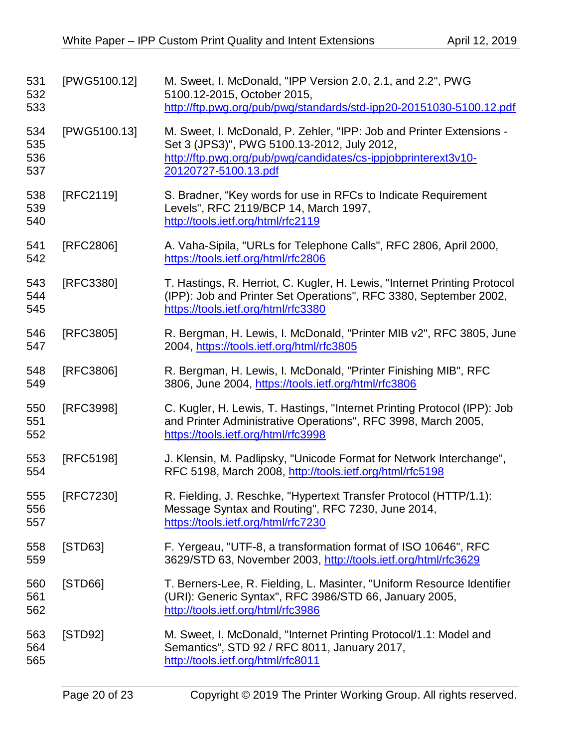<span id="page-19-1"></span><span id="page-19-0"></span>

| 531<br>532<br>533        | [PWG5100.12] | M. Sweet, I. McDonald, "IPP Version 2.0, 2.1, and 2.2", PWG<br>5100.12-2015, October 2015,<br>http://ftp.pwg.org/pub/pwg/standards/std-ipp20-20151030-5100.12.pdf                                             |
|--------------------------|--------------|---------------------------------------------------------------------------------------------------------------------------------------------------------------------------------------------------------------|
| 534<br>535<br>536<br>537 | [PWG5100.13] | M. Sweet, I. McDonald, P. Zehler, "IPP: Job and Printer Extensions -<br>Set 3 (JPS3)", PWG 5100.13-2012, July 2012,<br>http://ftp.pwg.org/pub/pwg/candidates/cs-ippjobprinterext3v10-<br>20120727-5100.13.pdf |
| 538<br>539<br>540        | [RFC2119]    | S. Bradner, "Key words for use in RFCs to Indicate Requirement<br>Levels", RFC 2119/BCP 14, March 1997,<br>http://tools.ietf.org/html/rfc2119                                                                 |
| 541<br>542               | [RFC2806]    | A. Vaha-Sipila, "URLs for Telephone Calls", RFC 2806, April 2000,<br>https://tools.ietf.org/html/rfc2806                                                                                                      |
| 543<br>544<br>545        | [RFC3380]    | T. Hastings, R. Herriot, C. Kugler, H. Lewis, "Internet Printing Protocol<br>(IPP): Job and Printer Set Operations", RFC 3380, September 2002,<br>https://tools.ietf.org/html/rfc3380                         |
| 546<br>547               | [RFC3805]    | R. Bergman, H. Lewis, I. McDonald, "Printer MIB v2", RFC 3805, June<br>2004, https://tools.ietf.org/html/rfc3805                                                                                              |
| 548<br>549               | [RFC3806]    | R. Bergman, H. Lewis, I. McDonald, "Printer Finishing MIB", RFC<br>3806, June 2004, https://tools.ietf.org/html/rfc3806                                                                                       |
| 550<br>551<br>552        | [RFC3998]    | C. Kugler, H. Lewis, T. Hastings, "Internet Printing Protocol (IPP): Job<br>and Printer Administrative Operations", RFC 3998, March 2005,<br>https://tools.ietf.org/html/rfc3998                              |
| 553<br>554               | [RFC5198]    | J. Klensin, M. Padlipsky, "Unicode Format for Network Interchange",<br>RFC 5198, March 2008, http://tools.ietf.org/html/rfc5198                                                                               |
| 555<br>556<br>557        | [RFC7230]    | R. Fielding, J. Reschke, "Hypertext Transfer Protocol (HTTP/1.1):<br>Message Syntax and Routing", RFC 7230, June 2014,<br>https://tools.ietf.org/html/rfc7230                                                 |
| 558<br>559               | [STD63]      | F. Yergeau, "UTF-8, a transformation format of ISO 10646", RFC<br>3629/STD 63, November 2003, http://tools.ietf.org/html/rfc3629                                                                              |
| 560<br>561<br>562        | [STD66]      | T. Berners-Lee, R. Fielding, L. Masinter, "Uniform Resource Identifier<br>(URI): Generic Syntax", RFC 3986/STD 66, January 2005,<br>http://tools.ietf.org/html/rfc3986                                        |
| 563<br>564<br>565        | [STD92]      | M. Sweet, I. McDonald, "Internet Printing Protocol/1.1: Model and<br>Semantics", STD 92 / RFC 8011, January 2017,<br>http://tools.ietf.org/html/rfc8011                                                       |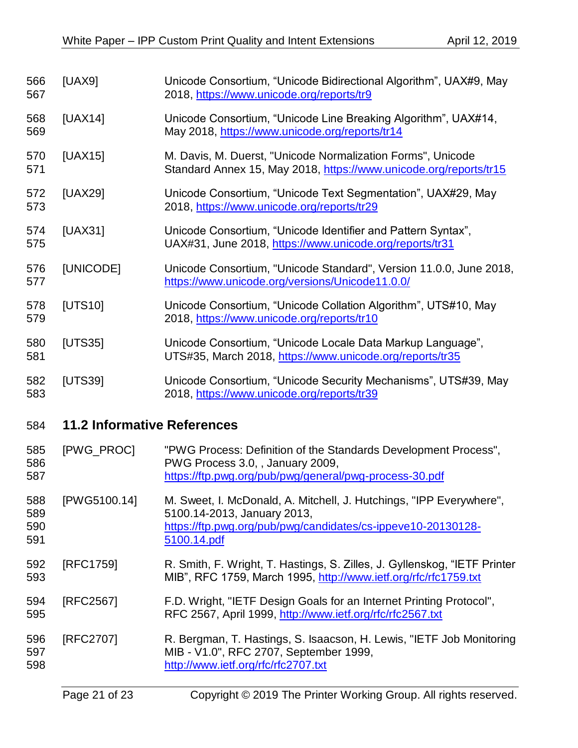<span id="page-20-1"></span><span id="page-20-0"></span>

| 566<br>567        | [UAX9]                             | Unicode Consortium, "Unicode Bidirectional Algorithm", UAX#9, May<br>2018, https://www.unicode.org/reports/tr9                                                     |
|-------------------|------------------------------------|--------------------------------------------------------------------------------------------------------------------------------------------------------------------|
| 568<br>569        | [UAX14]                            | Unicode Consortium, "Unicode Line Breaking Algorithm", UAX#14,<br>May 2018, https://www.unicode.org/reports/tr14                                                   |
| 570<br>571        | [UAX15]                            | M. Davis, M. Duerst, "Unicode Normalization Forms", Unicode<br>Standard Annex 15, May 2018, https://www.unicode.org/reports/tr15                                   |
| 572<br>573        | [UAX29]                            | Unicode Consortium, "Unicode Text Segmentation", UAX#29, May<br>2018, https://www.unicode.org/reports/tr29                                                         |
| 574<br>575        | [UAX31]                            | Unicode Consortium, "Unicode Identifier and Pattern Syntax",<br>UAX#31, June 2018, https://www.unicode.org/reports/tr31                                            |
| 576<br>577        | [UNICODE]                          | Unicode Consortium, "Unicode Standard", Version 11.0.0, June 2018,<br>https://www.unicode.org/versions/Unicode11.0.0/                                              |
| 578<br>579        | [UTS10]                            | Unicode Consortium, "Unicode Collation Algorithm", UTS#10, May<br>2018, https://www.unicode.org/reports/tr10                                                       |
| 580<br>581        | [UTS35]                            | Unicode Consortium, "Unicode Locale Data Markup Language",<br>UTS#35, March 2018, https://www.unicode.org/reports/tr35                                             |
| 582<br>583        | [UTS39]                            | Unicode Consortium, "Unicode Security Mechanisms", UTS#39, May<br>2018, https://www.unicode.org/reports/tr39                                                       |
| 584               | <b>11.2 Informative References</b> |                                                                                                                                                                    |
| 585<br>586<br>587 | [PWG_PROC]                         | "PWG Process: Definition of the Standards Development Process",<br>PWG Process 3.0, , January 2009,<br>https://ftp.pwg.org/pub/pwg/general/pwg-process-30.pdf      |
| 588<br>589<br>590 | [PWG5100.14]                       | M. Sweet, I. McDonald, A. Mitchell, J. Hutchings, "IPP Everywhere",<br>5100.14-2013, January 2013,<br>https://ftp.pwg.org/pub/pwg/candidates/cs-ippeve10-20130128- |
| 591               |                                    | 5100.14.pdf                                                                                                                                                        |
| 592<br>593        | [RFC1759]                          | R. Smith, F. Wright, T. Hastings, S. Zilles, J. Gyllenskog, "IETF Printer<br>MIB", RFC 1759, March 1995, http://www.ietf.org/rfc/rfc1759.txt                       |
| 594<br>595        | [RFC2567]                          | F.D. Wright, "IETF Design Goals for an Internet Printing Protocol",<br>RFC 2567, April 1999, http://www.ietf.org/rfc/rfc2567.txt                                   |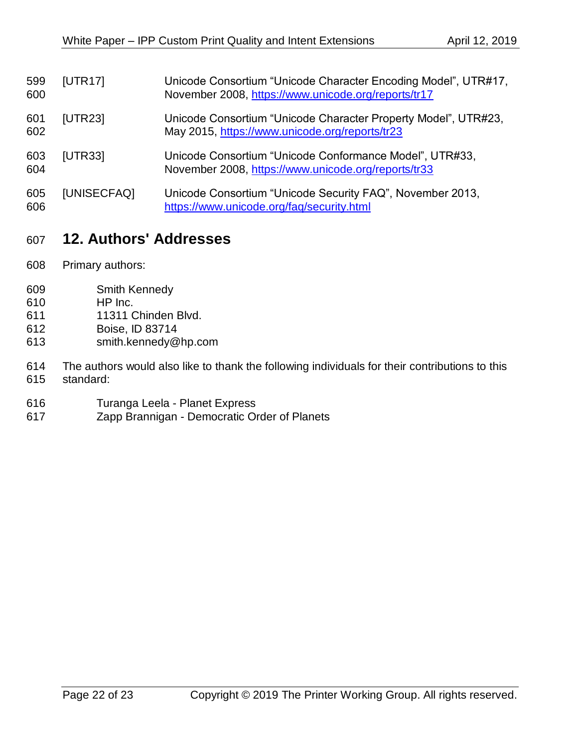| 599<br>600 | [UTR17]        | Unicode Consortium "Unicode Character Encoding Model", UTR#17,<br>November 2008, https://www.unicode.org/reports/tr17 |
|------------|----------------|-----------------------------------------------------------------------------------------------------------------------|
| 601<br>602 | [UTR23]        | Unicode Consortium "Unicode Character Property Model", UTR#23,<br>May 2015, https://www.unicode.org/reports/tr23      |
| 603<br>604 | <b>[UTR33]</b> | Unicode Consortium "Unicode Conformance Model", UTR#33,<br>November 2008, https://www.unicode.org/reports/tr33        |
| 605<br>606 | [UNISECFAQ]    | Unicode Consortium "Unicode Security FAQ", November 2013,<br>https://www.unicode.org/faq/security.html                |

# <span id="page-21-0"></span>**12. Authors' Addresses**

- Primary authors:
- Smith Kennedy
- HP Inc.
- 11311 Chinden Blvd.
- Boise, ID 83714
- smith.kennedy@hp.com

 The authors would also like to thank the following individuals for their contributions to this standard:

- Turanga Leela Planet Express
- Zapp Brannigan Democratic Order of Planets